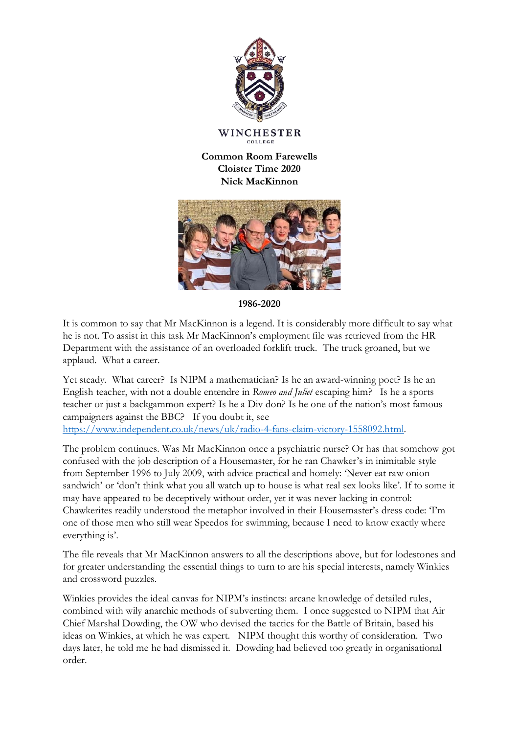

**WINCHESTER** COLLEGE

**Common Room Farewells Cloister Time 2020 Nick MacKinnon**



**1986-2020**

It is common to say that Mr MacKinnon is a legend. It is considerably more difficult to say what he is not. To assist in this task Mr MacKinnon's employment file was retrieved from the HR Department with the assistance of an overloaded forklift truck. The truck groaned, but we applaud. What a career.

Yet steady. What career? Is NIPM a mathematician? Is he an award-winning poet? Is he an English teacher, with not a double entendre in *Romeo and Juliet* escaping him? Is he a sports teacher or just a backgammon expert? Is he a Div don? Is he one of the nation's most famous campaigners against the BBC? If you doubt it, see [https://www.independent.co.uk/news/uk/radio-4-fans-claim-victory-1558092.html.](https://www.independent.co.uk/news/uk/radio-4-fans-claim-victory-1558092.html)

The problem continues. Was Mr MacKinnon once a psychiatric nurse? Or has that somehow got confused with the job description of a Housemaster, for he ran Chawker's in inimitable style from September 1996 to July 2009, with advice practical and homely: 'Never eat raw onion sandwich' or 'don't think what you all watch up to house is what real sex looks like'. If to some it may have appeared to be deceptively without order, yet it was never lacking in control: Chawkerites readily understood the metaphor involved in their Housemaster's dress code: 'I'm one of those men who still wear Speedos for swimming, because I need to know exactly where everything is'.

The file reveals that Mr MacKinnon answers to all the descriptions above, but for lodestones and for greater understanding the essential things to turn to are his special interests, namely Winkies and crossword puzzles.

Winkies provides the ideal canvas for NIPM's instincts: arcane knowledge of detailed rules, combined with wily anarchic methods of subverting them. I once suggested to NIPM that Air Chief Marshal Dowding, the OW who devised the tactics for the Battle of Britain, based his ideas on Winkies, at which he was expert. NIPM thought this worthy of consideration. Two days later, he told me he had dismissed it. Dowding had believed too greatly in organisational order.